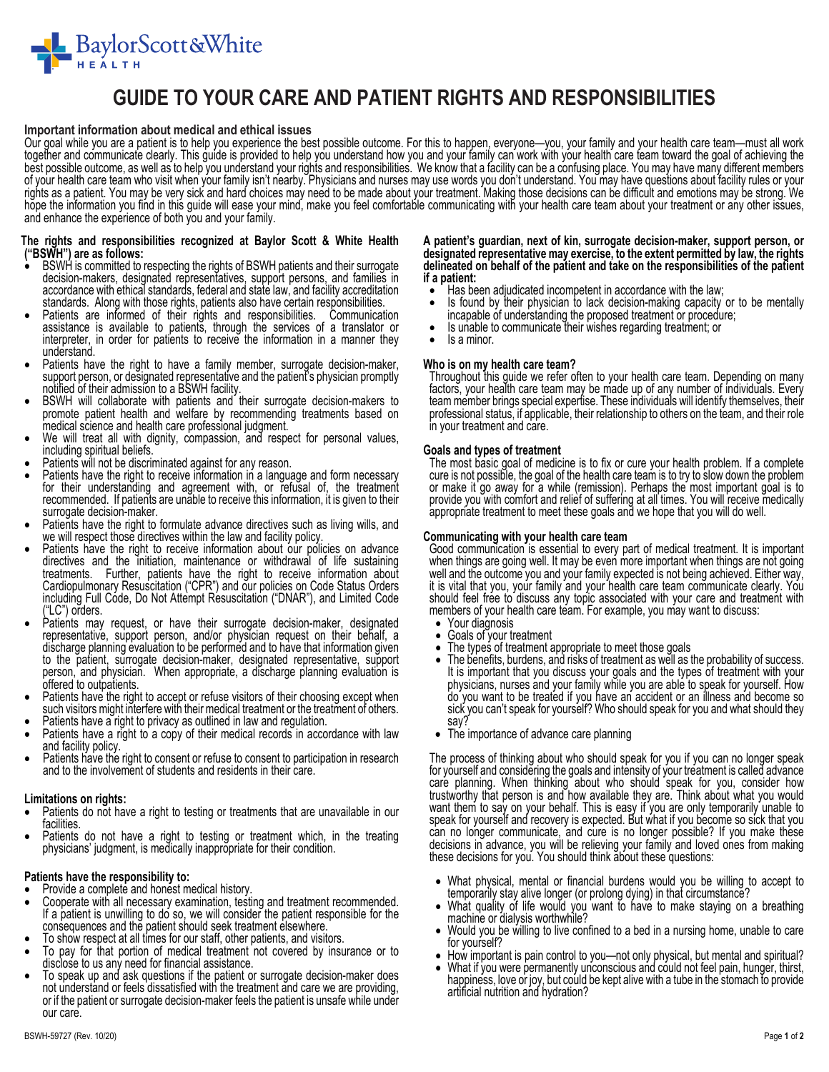

## **GUIDE TO YOUR CARE AND PATIENT RIGHTS AND RESPONSIBILITIES**

#### **Important information about medical and ethical issues**

Our goal while you are a patient is to help you experience the best possible outcome. For this to happen, everyone—you, your family and your health care team—must all work together and communicate clearly. This guide is provided to help you understand how you and your family can work with your health care team toward the goal of achieving the best possible outcome, as well as to help you understand your rights and responsibilities. We know that a facility can be a confusing place. You may have many different members of your health care team who visit when your rights as a patient. You may be very sick and hard choices may need to be made about your treatment. Making those decisions can be difficult and emotions may be strong. We<br>hope the information you find in this guide will e

# **The rights and responsibilities recognized at Baylor Scott & White Health ("BSWH") are as follows:**

- decision-makers, designated representatives, support persons, and families in<br>accordance with ethical standards, federal and state law, and facility accreditation<br>standards. Along with those rights, patients also have cert
- Patients are informed of their rights and responsibilities. Communication assistance is available to patients, through the services of a translator or<br>interpreter, in order for patients to receive the information in a manner they<br>understand.
- Patients have the right to have a family member, surrogate decision-maker, support person, or designated representative and the patient's physician promptly notified of their admission to a BSWH facility.
- BSWH will collaborate with patients and their surrogate decision-makers to promote patient health and welfare by recommending treatments based on medical science and health care professional judgment.
- We will treat all with dignity, compassion, and respect for personal values, including spiritual beliefs.
- Patients will not be discriminated against for any reason.
- Patients have the right to receive information in a language and form necessary for their understanding and agreement with, or refusal of, the treatment recommended. If patients are unable to receive this information, it is given to their surrogate decision-maker.
- Patients have the right to formulate advance directives such as living wills, and we will respect those directives within the law and facility policy.
- Patients have the right to receive information about our policies on advance directives and the initiation, maintenance or withdrawal of life sustaining treatments. Further, patients have the right to receive information about<br>Cardiopulmonary Resuscitation ("CPR") and our policies on Code Status Orders<br>including Full Code, Do Not Attempt Resuscitation ("DNAR"), and Limited
- representative, support person, and/or physician request on their behalf, a discharge planning evaluation to be performed and to have that information given to the patient, surrogate decision-maker, designated representati
- Patients have the right to accept or refuse visitors of their choosing except when such visitors might interfere with their medical treatment or the treatment of others.
- Patients have a right to privacy as outlined in law and regulation.
- Patients have a right to a copy of their medical records in accordance with law and facility policy.
- Patients have the right to consent or refuse to consent to participation in research and to the involvement of students and residents in their care.

#### **Limitations on rights:**

- Patients do not have a right to testing or treatments that are unavailable in our
- facilities.<br>Patients do not have a right to testing or treatment which, in the treating physicians' judgment, is medically inappropriate for their condition.

#### **Patients have the responsibility to:**

- 
- Provide a complete and honest medical history.<br>Cooperate with all necessary examination, testing and treatment recommended. Cooperate with all necessary examination, testing and treatment recommended. If a patient is unwilling to do so, we will consider the patient responsible for the consequences and the patient should seek treatment elsewhere.
- To show respect at all times for our staff, other patients, and visitors.
- To pay for that portion of medical treatment not covered by insurance or to disclose to us any need for financial assistance.
- To speak up and ask questions if the patient or surrogate decision-maker does or if the patient or surrogate decision-maker feels the patient is unsafe while under our care.

**A patient's guardian, next of kin, surrogate decision-maker, support person, or designated representative may exercise, to the extent permitted by law, the rights delineated on behalf of the patient and take on the responsibilities of the patient if a patient:** 

- Has been adjudicated incompetent in accordance with the law;
- Is found by their physician to lack decision-making capacity or to be mentally incapable of understanding the proposed treatment or procedure;
- Is unable to communicate their wishes regarding treatment; or
- Is a minor.

**Who is on my health care team?**  factors, your health care team may be made up of any number of individuals. Every team member brings special expertise. These individuals will identify themselves, their professional status, if applicable, their relationsh

**Goals and types of treatment**<br>The most basic goal of medicine is to fix or cure your health problem. If a complete cure is not possible, the goal of the health care team is to try to slow down the problem<br>or make it go away for a while (remission). Perhaps the most important goal is to<br>provide you with comfort and relief of suffering a

**Communicating with your health care team**  when things are going well. It may be even more important when things are not going well and the outcome you and your family expected is not being achieved. Either way, it is vital that you, your family and your health car members of your health care team. For example, you may want to discuss:

- Your diagnosis<br>• Goals of your tr
- Goals of your treatment<br>• The types of treatment a
- 
- The types of treatment appropriate to meet those goals<br>The benefits, burdens, and risks of treatment as well as the probability of success. • The benefits, burdens, and risks of treatment as well as the probability of success.<br>It is important that you discuss your goals and the types of treatment with your<br>physicians, nurses and your family while you are able sick you can't speak for yourself? Who should speak for you and what should they<br>say?
- The importance of advance care planning

The process of thinking about who should speak for you if you can no longer speak for yourself and considering the goals and intensity of your treatment is called advance care planning. When thinking about who should speak trustworthy that person is and how available they are. Think about what you would<br>want them to say on your behalf. This is easy if you are only temporarily unable to<br>speak for yourself and recovery is expected. But what if

- What physical, mental or financial burdens would you be willing to accept to temporarily stay alive longer (or prolong dying) in that circumstance?
- What quality of life would you want to have to make staying on a breathing machine or dialysis worthwhile?
- Would you be willing to live confined to a bed in a nursing home, unable to care for yourself?
- 
- How important is pain control to you—not only physical, but mental and spiritual?<br>• What if you were permanently unconscious and could not feel pain, hunger, thirst, happiness, love or joy, but could be kept alive with a tube in the stomach to provide artificial nutrition and hydration?